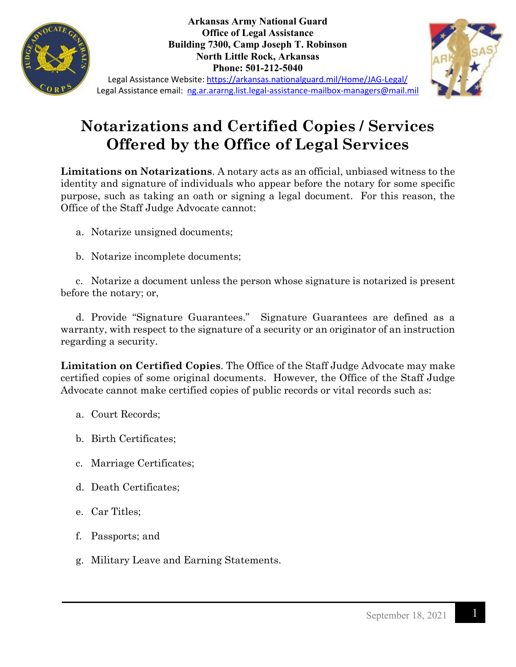

**Arkansas Army National Guard Office of Legal Assistance Building 7300, Camp Joseph T. Robinson North Little Rock, Arkansas Phone: 501-212-5040**



Legal Assistance Website:<https://arkansas.nationalguard.mil/Home/JAG-Legal/> Legal Assistance email: [ng.ar.ararng.list.legal-assistance-mailbox-managers@mail.mil](mailto:ng.ar.ararng.list.legal-assistance-mailbox-managers@mail.mil)

## **Notarizations and Certified Copies / Services Offered by the Office of Legal Services**

**Limitations on Notarizations**. A notary acts as an official, unbiased witness to the identity and signature of individuals who appear before the notary for some specific purpose, such as taking an oath or signing a legal document. For this reason, the Office of the Staff Judge Advocate cannot:

- a. Notarize unsigned documents;
- b. Notarize incomplete documents;

c. Notarize a document unless the person whose signature is notarized is present before the notary; or,

d. Provide "Signature Guarantees." Signature Guarantees are defined as a warranty, with respect to the signature of a security or an originator of an instruction regarding a security.

**Limitation on Certified Copies**. The Office of the Staff Judge Advocate may make certified copies of some original documents. However, the Office of the Staff Judge Advocate cannot make certified copies of public records or vital records such as:

- a. Court Records;
- b. Birth Certificates;
- c. Marriage Certificates;
- d. Death Certificates;
- e. Car Titles;
- f. Passports; and
- g. Military Leave and Earning Statements.